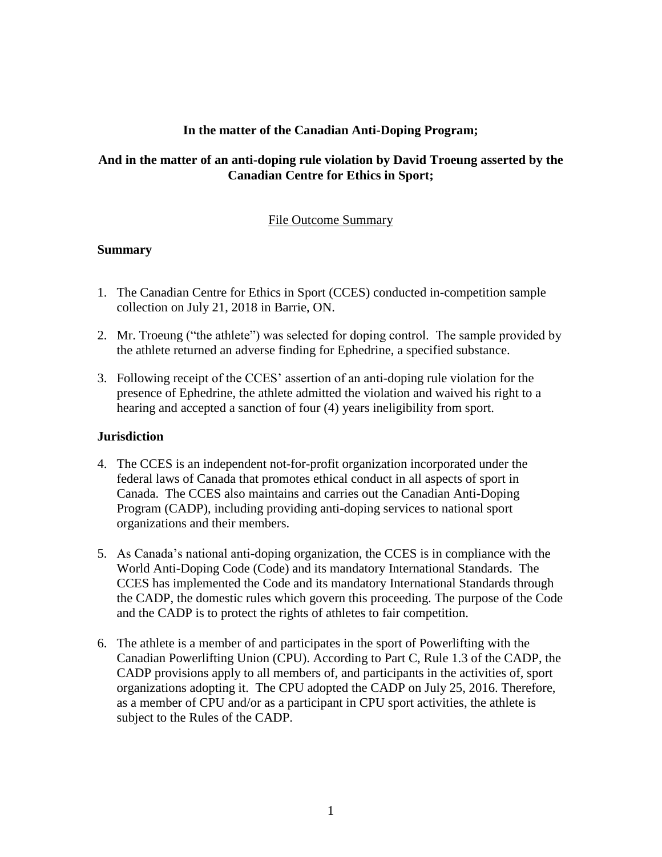# **In the matter of the Canadian Anti-Doping Program;**

# **And in the matter of an anti-doping rule violation by David Troeung asserted by the Canadian Centre for Ethics in Sport;**

### File Outcome Summary

#### **Summary**

- 1. The Canadian Centre for Ethics in Sport (CCES) conducted in-competition sample collection on July 21, 2018 in Barrie, ON.
- 2. Mr. Troeung ("the athlete") was selected for doping control. The sample provided by the athlete returned an adverse finding for Ephedrine, a specified substance.
- 3. Following receipt of the CCES' assertion of an anti-doping rule violation for the presence of Ephedrine, the athlete admitted the violation and waived his right to a hearing and accepted a sanction of four (4) years ineligibility from sport.

#### **Jurisdiction**

- 4. The CCES is an independent not-for-profit organization incorporated under the federal laws of Canada that promotes ethical conduct in all aspects of sport in Canada. The CCES also maintains and carries out the Canadian Anti-Doping Program (CADP), including providing anti-doping services to national sport organizations and their members.
- 5. As Canada's national anti-doping organization, the CCES is in compliance with the World Anti-Doping Code (Code) and its mandatory International Standards. The CCES has implemented the Code and its mandatory International Standards through the CADP, the domestic rules which govern this proceeding. The purpose of the Code and the CADP is to protect the rights of athletes to fair competition.
- 6. The athlete is a member of and participates in the sport of Powerlifting with the Canadian Powerlifting Union (CPU). According to Part C, Rule 1.3 of the CADP, the CADP provisions apply to all members of, and participants in the activities of, sport organizations adopting it. The CPU adopted the CADP on July 25, 2016. Therefore, as a member of CPU and/or as a participant in CPU sport activities, the athlete is subject to the Rules of the CADP.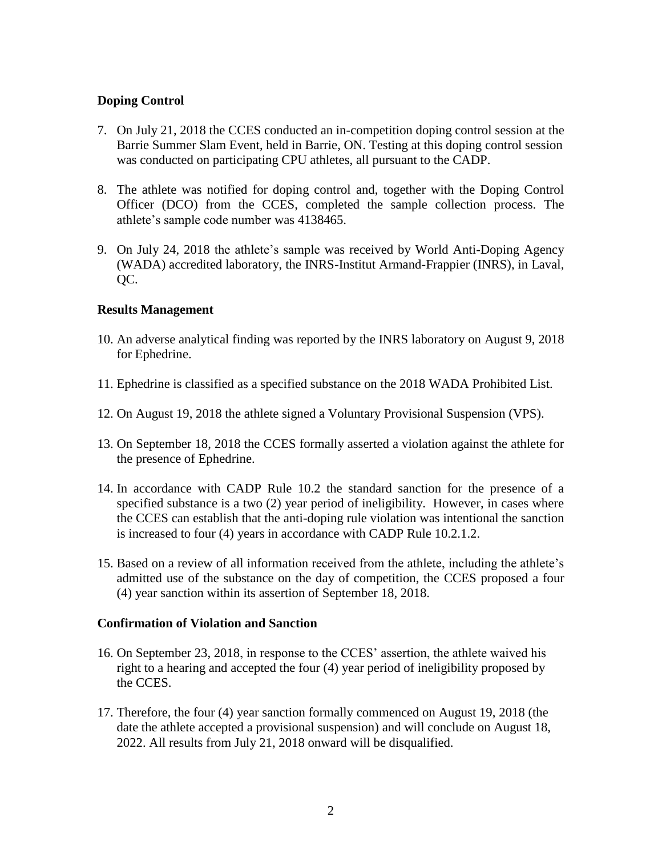# **Doping Control**

- 7. On July 21, 2018 the CCES conducted an in-competition doping control session at the Barrie Summer Slam Event, held in Barrie, ON. Testing at this doping control session was conducted on participating CPU athletes, all pursuant to the CADP.
- 8. The athlete was notified for doping control and, together with the Doping Control Officer (DCO) from the CCES, completed the sample collection process. The athlete's sample code number was 4138465.
- 9. On July 24, 2018 the athlete's sample was received by World Anti-Doping Agency (WADA) accredited laboratory, the INRS-Institut Armand-Frappier (INRS), in Laval, QC.

#### **Results Management**

- 10. An adverse analytical finding was reported by the INRS laboratory on August 9, 2018 for Ephedrine.
- 11. Ephedrine is classified as a specified substance on the 2018 WADA Prohibited List.
- 12. On August 19, 2018 the athlete signed a Voluntary Provisional Suspension (VPS).
- 13. On September 18, 2018 the CCES formally asserted a violation against the athlete for the presence of Ephedrine.
- 14. In accordance with CADP Rule 10.2 the standard sanction for the presence of a specified substance is a two (2) year period of ineligibility. However, in cases where the CCES can establish that the anti-doping rule violation was intentional the sanction is increased to four (4) years in accordance with CADP Rule 10.2.1.2.
- 15. Based on a review of all information received from the athlete, including the athlete's admitted use of the substance on the day of competition, the CCES proposed a four (4) year sanction within its assertion of September 18, 2018.

#### **Confirmation of Violation and Sanction**

- 16. On September 23, 2018, in response to the CCES' assertion, the athlete waived his right to a hearing and accepted the four (4) year period of ineligibility proposed by the CCES.
- 17. Therefore, the four (4) year sanction formally commenced on August 19, 2018 (the date the athlete accepted a provisional suspension) and will conclude on August 18, 2022. All results from July 21, 2018 onward will be disqualified.